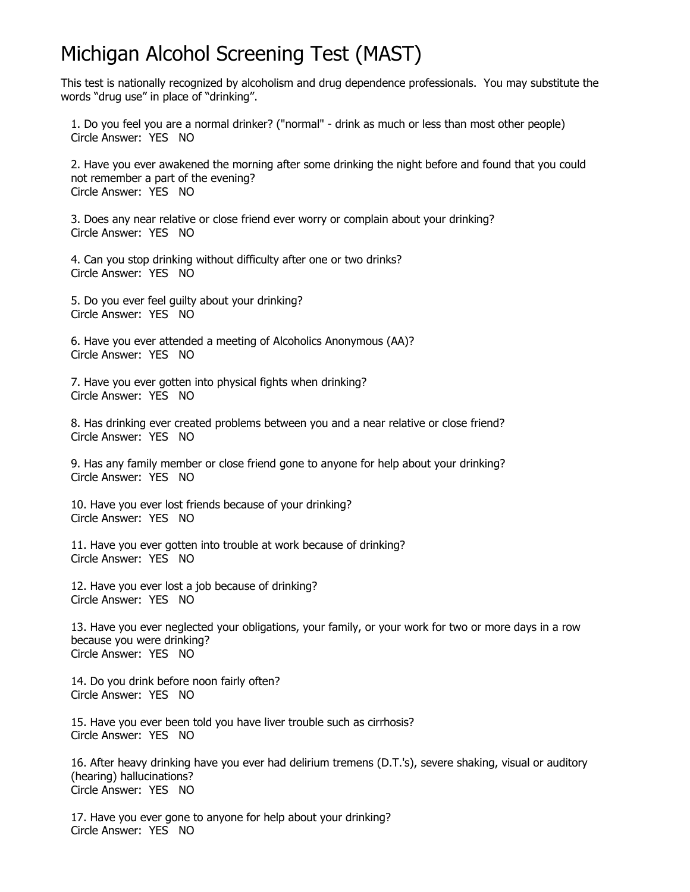## Michigan Alcohol Screening Test (MAST)

This test is nationally recognized by alcoholism and drug dependence professionals. You may substitute the words "drug use" in place of "drinking".

1. Do you feel you are a normal drinker? ("normal" - drink as much or less than most other people) Circle Answer: YES NO

2. Have you ever awakened the morning after some drinking the night before and found that you could not remember a part of the evening? Circle Answer: YES NO

3. Does any near relative or close friend ever worry or complain about your drinking? Circle Answer: YES NO

4. Can you stop drinking without difficulty after one or two drinks? Circle Answer: YES NO

5. Do you ever feel guilty about your drinking? Circle Answer: YES NO

```
6. Have you ever attended a meeting of Alcoholics Anonymous (AA)? 
Circle Answer: YES NO
```
7. Have you ever gotten into physical fights when drinking? Circle Answer: YES NO

8. Has drinking ever created problems between you and a near relative or close friend? Circle Answer: YES NO

9. Has any family member or close friend gone to anyone for help about your drinking? Circle Answer: YES NO

10. Have you ever lost friends because of your drinking? Circle Answer: YES NO

11. Have you ever gotten into trouble at work because of drinking? Circle Answer: YES NO

12. Have you ever lost a job because of drinking? Circle Answer: YES NO

13. Have you ever neglected your obligations, your family, or your work for two or more days in a row because you were drinking? Circle Answer: YES NO

14. Do you drink before noon fairly often? Circle Answer: YES NO

15. Have you ever been told you have liver trouble such as cirrhosis? Circle Answer: YES NO

16. After heavy drinking have you ever had delirium tremens (D.T.'s), severe shaking, visual or auditory (hearing) hallucinations? Circle Answer: YES NO

17. Have you ever gone to anyone for help about your drinking? Circle Answer: YES NO